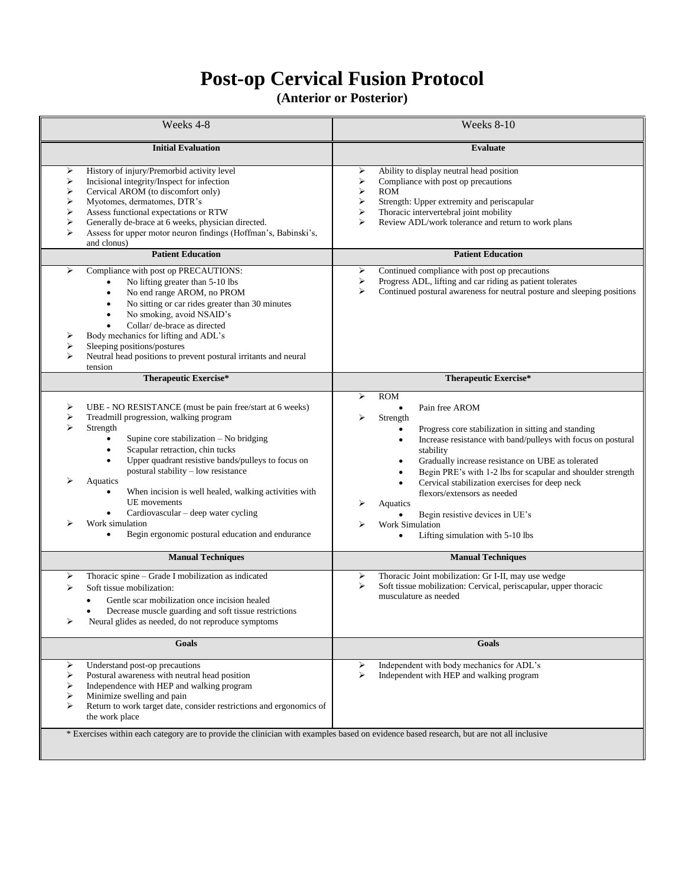## **Post-op Cervical Fusion Protocol**

## **(Anterior or Posterior)**

| Weeks 4-8                                                                                                                                                                                                                                                                                                                                                                                                                                                                                                                                                            | Weeks 8-10                                                                                                                                                                                                                                                                                                                                                                                                                                                                                                                                                                                                         |
|----------------------------------------------------------------------------------------------------------------------------------------------------------------------------------------------------------------------------------------------------------------------------------------------------------------------------------------------------------------------------------------------------------------------------------------------------------------------------------------------------------------------------------------------------------------------|--------------------------------------------------------------------------------------------------------------------------------------------------------------------------------------------------------------------------------------------------------------------------------------------------------------------------------------------------------------------------------------------------------------------------------------------------------------------------------------------------------------------------------------------------------------------------------------------------------------------|
| <b>Initial Evaluation</b>                                                                                                                                                                                                                                                                                                                                                                                                                                                                                                                                            | <b>Evaluate</b>                                                                                                                                                                                                                                                                                                                                                                                                                                                                                                                                                                                                    |
| History of injury/Premorbid activity level<br>⋗<br>Incisional integrity/Inspect for infection<br>⋗<br>Cervical AROM (to discomfort only)<br>⋗<br>➤<br>Myotomes, dermatomes, DTR's<br>⋗<br>Assess functional expectations or RTW<br>⋗<br>Generally de-brace at 6 weeks, physician directed.<br>➤<br>Assess for upper motor neuron findings (Hoffman's, Babinski's,<br>and clonus)                                                                                                                                                                                     | Ability to display neutral head position<br>⋗<br>➤<br>Compliance with post op precautions<br>≻<br><b>ROM</b><br>≻<br>Strength: Upper extremity and periscapular<br>Thoracic intervertebral joint mobility<br>⋗<br>➤<br>Review ADL/work tolerance and return to work plans                                                                                                                                                                                                                                                                                                                                          |
| <b>Patient Education</b>                                                                                                                                                                                                                                                                                                                                                                                                                                                                                                                                             | <b>Patient Education</b>                                                                                                                                                                                                                                                                                                                                                                                                                                                                                                                                                                                           |
| ⋗<br>Compliance with post op PRECAUTIONS:<br>No lifting greater than 5-10 lbs<br>No end range AROM, no PROM<br>$\bullet$<br>No sitting or car rides greater than 30 minutes<br>$\bullet$<br>No smoking, avoid NSAID's<br>$\bullet$<br>Collar/ de-brace as directed<br>$\bullet$<br>Body mechanics for lifting and ADL's<br>⋗<br>Sleeping positions/postures<br>≻<br>Neutral head positions to prevent postural irritants and neural<br>⋗<br>tension                                                                                                                  | Continued compliance with post op precautions<br>⋗<br>Progress ADL, lifting and car riding as patient tolerates<br>➤<br>Continued postural awareness for neutral posture and sleeping positions<br>➤                                                                                                                                                                                                                                                                                                                                                                                                               |
| Therapeutic Exercise*                                                                                                                                                                                                                                                                                                                                                                                                                                                                                                                                                | <b>Therapeutic Exercise*</b>                                                                                                                                                                                                                                                                                                                                                                                                                                                                                                                                                                                       |
| ⋗<br>UBE - NO RESISTANCE (must be pain free/start at 6 weeks)<br>⋗<br>Treadmill progression, walking program<br>↘<br>Strength<br>Supine core stabilization - No bridging<br>$\bullet$<br>Scapular retraction, chin tucks<br>$\bullet$<br>Upper quadrant resistive bands/pulleys to focus on<br>$\bullet$<br>postural stability - low resistance<br>Aquatics<br>When incision is well healed, walking activities with<br>UE movements<br>Cardiovascular - deep water cycling<br>٠<br>Work simulation<br>Begin ergonomic postural education and endurance<br>$\bullet$ | <b>ROM</b><br>➤<br>Pain free AROM<br>$\bullet$<br>⋗<br>Strength<br>Progress core stabilization in sitting and standing<br>$\bullet$<br>Increase resistance with band/pulleys with focus on postural<br>٠<br>stability<br>Gradually increase resistance on UBE as tolerated<br>$\bullet$<br>Begin PRE's with 1-2 lbs for scapular and shoulder strength<br>$\bullet$<br>Cervical stabilization exercises for deep neck<br>$\bullet$<br>flexors/extensors as needed<br>⋗<br>Aquatics<br>Begin resistive devices in UE's<br>$\bullet$<br><b>Work Simulation</b><br>⋗<br>Lifting simulation with 5-10 lbs<br>$\bullet$ |
| <b>Manual Techniques</b>                                                                                                                                                                                                                                                                                                                                                                                                                                                                                                                                             | <b>Manual Techniques</b>                                                                                                                                                                                                                                                                                                                                                                                                                                                                                                                                                                                           |
| Thoracic spine - Grade I mobilization as indicated<br>≻<br>Soft tissue mobilization:<br>⋗<br>Gentle scar mobilization once incision healed<br>Decrease muscle guarding and soft tissue restrictions<br>Neural glides as needed, do not reproduce symptoms<br>➤                                                                                                                                                                                                                                                                                                       | Thoracic Joint mobilization: Gr I-II, may use wedge<br>➤<br>Soft tissue mobilization: Cervical, periscapular, upper thoracic<br>➤<br>musculature as needed                                                                                                                                                                                                                                                                                                                                                                                                                                                         |
| Goals                                                                                                                                                                                                                                                                                                                                                                                                                                                                                                                                                                | Goals                                                                                                                                                                                                                                                                                                                                                                                                                                                                                                                                                                                                              |
| ⋗<br>Understand post-op precautions<br>Postural awareness with neutral head position<br>⋗<br>Independence with HEP and walking program<br>⋗<br>Minimize swelling and pain<br>➤<br>➤<br>Return to work target date, consider restrictions and ergonomics of<br>the work place                                                                                                                                                                                                                                                                                         | Independent with body mechanics for ADL's<br>➤<br>➤<br>Independent with HEP and walking program                                                                                                                                                                                                                                                                                                                                                                                                                                                                                                                    |
| * Exercises within each category are to provide the clinician with examples based on evidence based research, but are not all inclusive                                                                                                                                                                                                                                                                                                                                                                                                                              |                                                                                                                                                                                                                                                                                                                                                                                                                                                                                                                                                                                                                    |